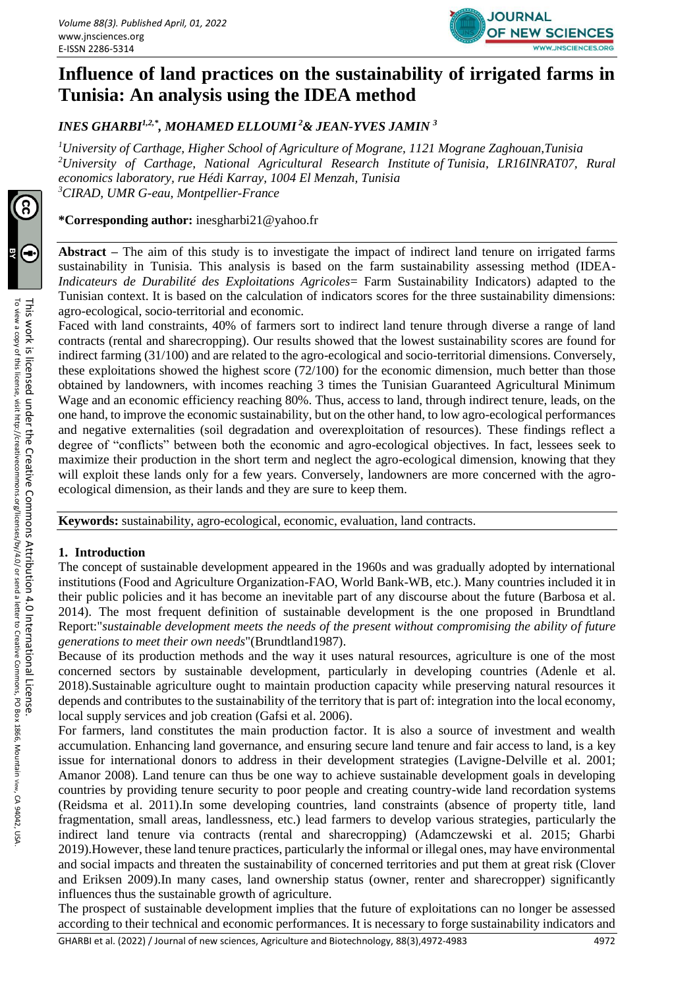

# **Influence of land practices on the sustainability of irrigated farms in Tunisia: An analysis using the IDEA method**

*INES GHARBI1,2,\*, MOHAMED ELLOUMI <sup>2</sup>& JEAN-YVES JAMIN <sup>3</sup>*

*University of Carthage, Higher School of Agriculture of Mograne, 1121 Mograne Zaghouan,Tunisia University of Carthage, National Agricultural Research Institute of Tunisia, LR16INRAT07, Rural economics laboratory, rue Hédi Karray, 1004 El Menzah, Tunisia CIRAD, UMR G-eau, Montpellier-France*

**\*Corresponding author:** [inesgharbi21@yahoo.fr](mailto:inesgharbi21@yahoo.fr)

**Abstract –** The aim of this study is to investigate the impact of indirect land tenure on irrigated farms sustainability in Tunisia. This analysis is based on the farm sustainability assessing method (IDEA-*Indicateurs de Durabilité des Exploitations Agricoles*= Farm Sustainability Indicators) adapted to the Tunisian context. It is based on the calculation of indicators scores for the three sustainability dimensions: agro-ecological, socio-territorial and economic.

Faced with land constraints, 40% of farmers sort to indirect land tenure through diverse a range of land contracts (rental and sharecropping). Our results showed that the lowest sustainability scores are found for indirect farming (31/100) and are related to the agro-ecological and socio-territorial dimensions. Conversely, these exploitations showed the highest score (72/100) for the economic dimension, much better than those obtained by landowners, with incomes reaching 3 times the Tunisian Guaranteed Agricultural Minimum Wage and an economic efficiency reaching 80%. Thus, access to land, through indirect tenure, leads, on the one hand, to improve the economic sustainability, but on the other hand, to low agro-ecological performances and negative externalities (soil degradation and overexploitation of resources). These findings reflect a degree of "conflicts" between both the economic and agro-ecological objectives. In fact, lessees seek to maximize their production in the short term and neglect the agro-ecological dimension, knowing that they will exploit these lands only for a few years. Conversely, landowners are more concerned with the agroecological dimension, as their lands and they are sure to keep them.

**Keywords:** sustainability, agro-ecological, economic, evaluation, land contracts.

# **1. Introduction**

The concept of sustainable development appeared in the 1960s and was gradually adopted by international institutions (Food and Agriculture Organization-FAO, World Bank-WB, etc.). Many countries included it in their public policies and it has become an inevitable part of any discourse about the future (Barbosa et al. 2014). The most frequent definition of sustainable development is the one proposed in Brundtland Report:"*sustainable development meets the needs of the present without compromising the ability of future generations to meet their own needs*"(Brundtland1987).

Because of its production methods and the way it uses natural resources, agriculture is one of the most concerned sectors by sustainable development, particularly in developing countries (Adenle et al. 2018).Sustainable agriculture ought to maintain production capacity while preserving natural resources it depends and contributes to the sustainability of the territory that is part of: integration into the local economy, local supply services and job creation (Gafsi et al. 2006).

For farmers, land constitutes the main production factor. It is also a source of investment and wealth accumulation. Enhancing land governance, and ensuring secure land tenure and fair access to land, is a key issue for international donors to address in their development strategies (Lavigne-Delville et al. 2001; Amanor 2008). Land tenure can thus be one way to achieve sustainable development goals in developing countries by providing tenure security to poor people and creating country-wide land recordation systems (Reidsma et al. 2011).In some developing countries, land constraints (absence of property title, land fragmentation, small areas, landlessness, etc.) lead farmers to develop various strategies, particularly the indirect land tenure via contracts (rental and sharecropping) (Adamczewski et al. 2015; Gharbi 2019).However, these land tenure practices, particularly the informal or illegal ones, may have environmental and social impacts and threaten the sustainability of concerned territories and put them at great risk (Clover and Eriksen 2009).In many cases, land ownership status (owner, renter and sharecropper) significantly influences thus the sustainable growth of agriculture.

The prospect of sustainable development implies that the future of exploitations can no longer be assessed according to their technical and economic performances. It is necessary to forge sustainability indicators and

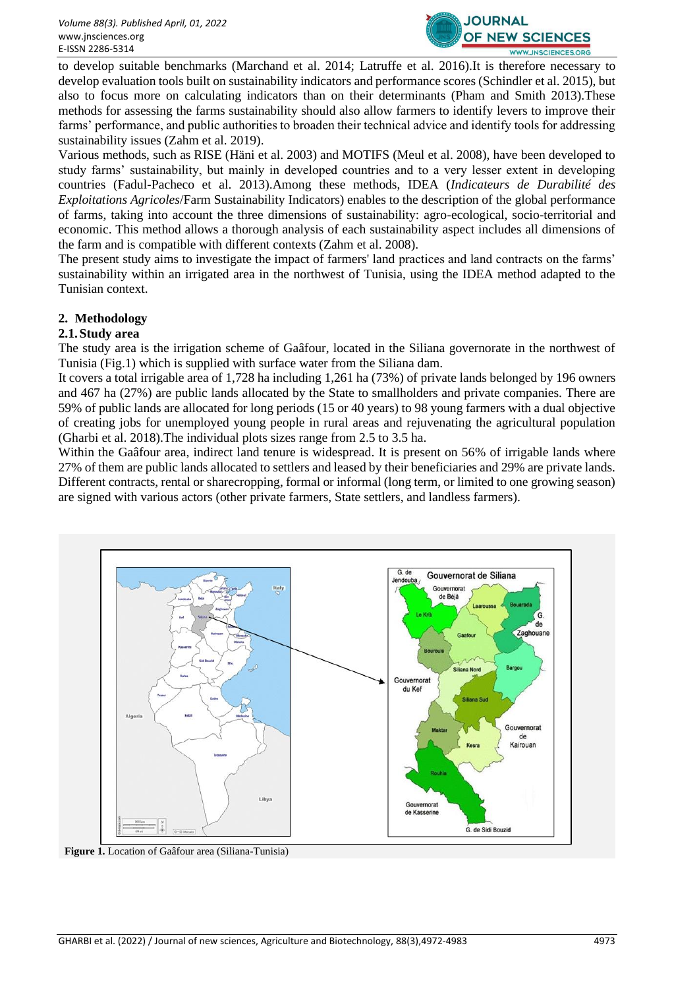

to develop suitable benchmarks (Marchand et al. 2014; Latruffe et al. 2016).It is therefore necessary to develop evaluation tools built on sustainability indicators and performance scores (Schindler et al. 2015), but also to focus more on calculating indicators than on their determinants (Pham and Smith 2013).These methods for assessing the farms sustainability should also allow farmers to identify levers to improve their farms' performance, and public authorities to broaden their technical advice and identify tools for addressing sustainability issues (Zahm et al. 2019).

Various methods, such as RISE (Häni et al. 2003) and MOTIFS (Meul et al. 2008), have been developed to study farms' sustainability, but mainly in developed countries and to a very lesser extent in developing countries (Fadul-Pacheco et al. 2013).Among these methods, IDEA (*Indicateurs de Durabilité des Exploitations Agricoles*/Farm Sustainability Indicators) enables to the description of the global performance of farms, taking into account the three dimensions of sustainability: agro-ecological, socio-territorial and economic. This method allows a thorough analysis of each sustainability aspect includes all dimensions of the farm and is compatible with different contexts (Zahm et al. 2008).

The present study aims to investigate the impact of farmers' land practices and land contracts on the farms' sustainability within an irrigated area in the northwest of Tunisia, using the IDEA method adapted to the Tunisian context.

# **2. Methodology**

# **2.1.Study area**

The study area is the irrigation scheme of Gaâfour, located in the Siliana governorate in the northwest of Tunisia (Fig.1) which is supplied with surface water from the Siliana dam.

It covers a total irrigable area of 1,728 ha including 1,261 ha (73%) of private lands belonged by 196 owners and 467 ha (27%) are public lands allocated by the State to smallholders and private companies. There are 59% of public lands are allocated for long periods (15 or 40 years) to 98 young farmers with a dual objective of creating jobs for unemployed young people in rural areas and rejuvenating the agricultural population (Gharbi et al. 2018).The individual plots sizes range from 2.5 to 3.5 ha.

Within the Gaâfour area, indirect land tenure is widespread. It is present on 56% of irrigable lands where 27% of them are public lands allocated to settlers and leased by their beneficiaries and 29% are private lands. Different contracts, rental or sharecropping, formal or informal (long term, or limited to one growing season) are signed with various actors (other private farmers, State settlers, and landless farmers).



**Figure 1.** Location of Gaâfour area (Siliana-Tunisia)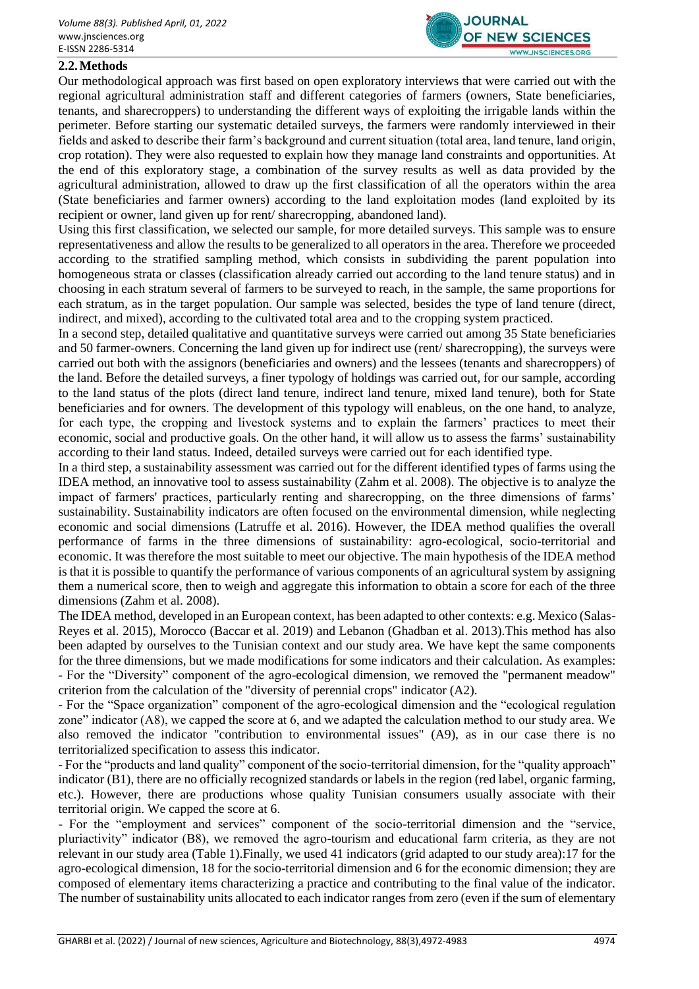

## **2.2.Methods**

Our methodological approach was first based on open exploratory interviews that were carried out with the regional agricultural administration staff and different categories of farmers (owners, State beneficiaries, tenants, and sharecroppers) to understanding the different ways of exploiting the irrigable lands within the perimeter. Before starting our systematic detailed surveys, the farmers were randomly interviewed in their fields and asked to describe their farm's background and current situation (total area, land tenure, land origin, crop rotation). They were also requested to explain how they manage land constraints and opportunities. At the end of this exploratory stage, a combination of the survey results as well as data provided by the agricultural administration, allowed to draw up the first classification of all the operators within the area (State beneficiaries and farmer owners) according to the land exploitation modes (land exploited by its recipient or owner, land given up for rent/ sharecropping, abandoned land).

Using this first classification, we selected our sample, for more detailed surveys. This sample was to ensure representativeness and allow the results to be generalized to all operators in the area. Therefore we proceeded according to the stratified sampling method, which consists in subdividing the parent population into homogeneous strata or classes (classification already carried out according to the land tenure status) and in choosing in each stratum several of farmers to be surveyed to reach, in the sample, the same proportions for each stratum, as in the target population. Our sample was selected, besides the type of land tenure (direct, indirect, and mixed), according to the cultivated total area and to the cropping system practiced.

In a second step, detailed qualitative and quantitative surveys were carried out among 35 State beneficiaries and 50 farmer-owners. Concerning the land given up for indirect use (rent/ sharecropping), the surveys were carried out both with the assignors (beneficiaries and owners) and the lessees (tenants and sharecroppers) of the land. Before the detailed surveys, a finer typology of holdings was carried out, for our sample, according to the land status of the plots (direct land tenure, indirect land tenure, mixed land tenure), both for State beneficiaries and for owners. The development of this typology will enableus, on the one hand, to analyze, for each type, the cropping and livestock systems and to explain the farmers' practices to meet their economic, social and productive goals. On the other hand, it will allow us to assess the farms' sustainability according to their land status. Indeed, detailed surveys were carried out for each identified type.

In a third step, a sustainability assessment was carried out for the different identified types of farms using the IDEA method, an innovative tool to assess sustainability (Zahm et al. 2008). The objective is to analyze the impact of farmers' practices, particularly renting and sharecropping, on the three dimensions of farms' sustainability. Sustainability indicators are often focused on the environmental dimension, while neglecting economic and social dimensions (Latruffe et al. 2016). However, the IDEA method qualifies the overall performance of farms in the three dimensions of sustainability: agro-ecological, socio-territorial and economic. It was therefore the most suitable to meet our objective. The main hypothesis of the IDEA method is that it is possible to quantify the performance of various components of an agricultural system by assigning them a numerical score, then to weigh and aggregate this information to obtain a score for each of the three dimensions (Zahm et al. 2008).

The IDEA method, developed in an European context, has been adapted to other contexts: e.g. Mexico (Salas-Reyes et al. 2015), Morocco (Baccar et al. 2019) and Lebanon (Ghadban et al. 2013).This method has also been adapted by ourselves to the Tunisian context and our study area. We have kept the same components for the three dimensions, but we made modifications for some indicators and their calculation. As examples: - For the "Diversity" component of the agro-ecological dimension, we removed the "permanent meadow" criterion from the calculation of the "diversity of perennial crops" indicator (A2).

- For the "Space organization" component of the agro-ecological dimension and the "ecological regulation zone" indicator (A8), we capped the score at 6, and we adapted the calculation method to our study area. We also removed the indicator "contribution to environmental issues" (A9), as in our case there is no territorialized specification to assess this indicator.

- For the "products and land quality" component of the socio-territorial dimension, for the "quality approach" indicator (B1), there are no officially recognized standards or labels in the region (red label, organic farming, etc.). However, there are productions whose quality Tunisian consumers usually associate with their territorial origin. We capped the score at 6.

- For the "employment and services" component of the socio-territorial dimension and the "service, pluriactivity" indicator (B8), we removed the agro-tourism and educational farm criteria, as they are not relevant in our study area (Table 1).Finally, we used 41 indicators (grid adapted to our study area):17 for the agro-ecological dimension, 18 for the socio-territorial dimension and 6 for the economic dimension; they are composed of elementary items characterizing a practice and contributing to the final value of the indicator. The number of sustainability units allocated to each indicator ranges from zero (even if the sum of elementary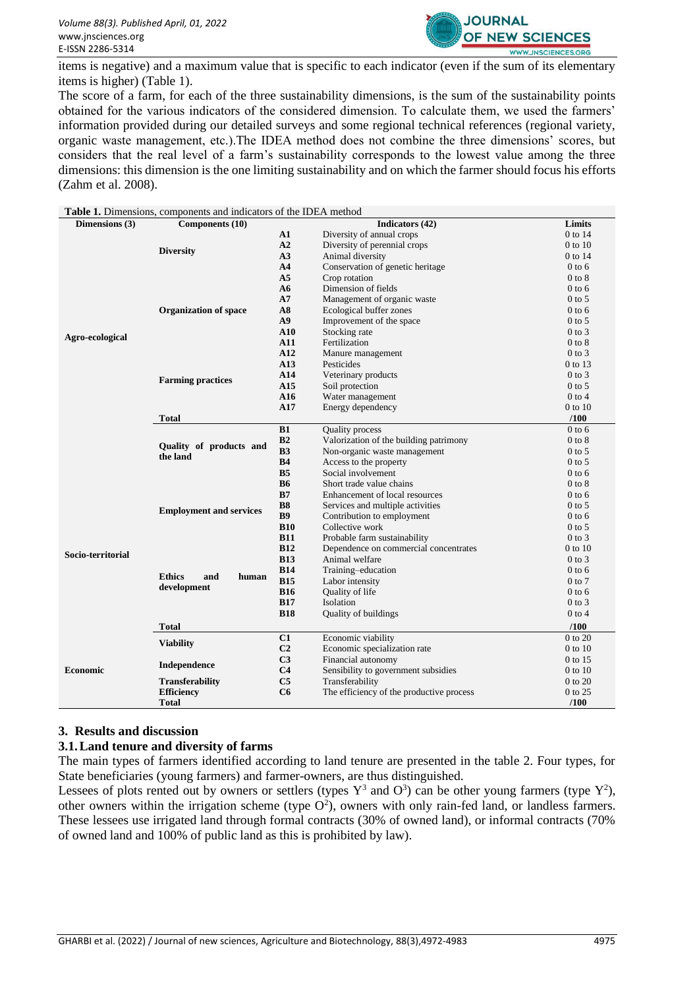

items is negative) and a maximum value that is specific to each indicator (even if the sum of its elementary items is higher) (Table 1).

The score of a farm, for each of the three sustainability dimensions, is the sum of the sustainability points obtained for the various indicators of the considered dimension. To calculate them, we used the farmers' information provided during our detailed surveys and some regional technical references (regional variety, organic waste management, etc.).The IDEA method does not combine the three dimensions' scores, but considers that the real level of a farm's sustainability corresponds to the lowest value among the three dimensions: this dimension is the one limiting sustainability and on which the farmer should focus his efforts (Zahm et al. 2008).

|                   | Table 1. Dimensions, components and indicators of the IDEA method |                      |                                          |            |
|-------------------|-------------------------------------------------------------------|----------------------|------------------------------------------|------------|
| Dimensions (3)    | Components (10)                                                   |                      | Indicators (42)                          | Limits     |
|                   |                                                                   | $\mathbf{A1}$        | Diversity of annual crops                | $0$ to 14  |
|                   | <b>Diversity</b>                                                  | A2                   | Diversity of perennial crops             | 0 to 10    |
|                   |                                                                   | A <sub>3</sub>       | Animal diversity                         | $0$ to 14  |
|                   |                                                                   | A <sub>4</sub>       | Conservation of genetic heritage         | $0$ to 6   |
|                   |                                                                   | A <sub>5</sub>       | Crop rotation                            | $0$ to $8$ |
| Agro-ecological   |                                                                   | A6                   | Dimension of fields                      | $0$ to 6   |
|                   |                                                                   | A7                   | Management of organic waste              | $0$ to 5   |
|                   | <b>Organization of space</b>                                      | A8                   | Ecological buffer zones                  | $0$ to 6   |
|                   |                                                                   | A9                   | Improvement of the space                 | $0$ to 5   |
|                   |                                                                   | ${\bf A10}$          | Stocking rate                            | $0$ to $3$ |
|                   |                                                                   | A11                  | Fertilization                            | $0$ to $8$ |
|                   |                                                                   | A12                  | Manure management                        | $0$ to $3$ |
|                   |                                                                   | A13                  | Pesticides                               | 0 to 13    |
|                   | <b>Farming practices</b>                                          | A14                  | Veterinary products                      | $0$ to $3$ |
|                   |                                                                   | A15                  | Soil protection                          | $0$ to 5   |
|                   |                                                                   | A16                  | Water management                         | $0$ to $4$ |
|                   |                                                                   | A17                  | Energy dependency                        | 0 to 10    |
|                   | <b>Total</b>                                                      |                      |                                          | /100       |
|                   |                                                                   | B1                   | <b>Ouality process</b>                   | $0$ to $6$ |
|                   |                                                                   | B2<br>B <sub>3</sub> | Valorization of the building patrimony   | $0$ to $8$ |
|                   | Quality of products and<br>the land                               |                      | Non-organic waste management             | $0$ to 5   |
|                   |                                                                   | B <sub>4</sub>       | Access to the property                   | $0$ to 5   |
|                   |                                                                   | B <sub>5</sub>       | Social involvement                       | $0$ to 6   |
|                   |                                                                   | <b>B6</b>            | Short trade value chains                 | $0$ to $8$ |
|                   |                                                                   | B7                   | Enhancement of local resources           | $0$ to 6   |
|                   | <b>Employment and services</b>                                    | <b>B8</b>            | Services and multiple activities         | $0$ to 5   |
|                   |                                                                   | <b>B9</b>            | Contribution to employment               | $0$ to 6   |
|                   |                                                                   | <b>B10</b>           | Collective work                          | $0$ to 5   |
|                   |                                                                   | <b>B11</b>           | Probable farm sustainability             | $0$ to $3$ |
| Socio-territorial |                                                                   | <b>B12</b>           | Dependence on commercial concentrates    | 0 to 10    |
|                   |                                                                   | <b>B13</b>           | Animal welfare                           | $0$ to $3$ |
|                   | <b>Ethics</b><br>and<br>human                                     | <b>B14</b>           | Training-education                       | $0$ to 6   |
|                   | development                                                       | <b>B15</b>           | Labor intensity                          | $0$ to $7$ |
|                   |                                                                   | <b>B16</b>           | Quality of life                          | $0$ to $6$ |
|                   |                                                                   | <b>B17</b>           | Isolation                                | $0$ to $3$ |
|                   |                                                                   | <b>B18</b>           | Quality of buildings                     | $0$ to $4$ |
|                   | <b>Total</b>                                                      |                      |                                          | /100       |
|                   | <b>Viability</b>                                                  | C1                   | Economic viability                       | 0 to 20    |
|                   |                                                                   | C <sub>2</sub>       | Economic specialization rate             | 0 to 10    |
|                   | Independence                                                      | C <sub>3</sub>       | Financial autonomy                       | 0 to 15    |
| <b>Economic</b>   |                                                                   | C <sub>4</sub>       | Sensibility to government subsidies      | 0 to 10    |
|                   | <b>Transferability</b>                                            | C <sub>5</sub>       | Transferability                          | 0 to 20    |
|                   | <b>Efficiency</b>                                                 | C6                   | The efficiency of the productive process | 0 to 25    |
|                   | Total                                                             |                      |                                          | /100       |

# **3. Results and discussion**

# **3.1.Land tenure and diversity of farms**

The main types of farmers identified according to land tenure are presented in the table 2. Four types, for State beneficiaries (young farmers) and farmer-owners, are thus distinguished.

Lessees of plots rented out by owners or settlers (types  $Y^3$  and  $O^3$ ) can be other young farmers (type  $Y^2$ ), other owners within the irrigation scheme (type  $O^2$ ), owners with only rain-fed land, or landless farmers. These lessees use irrigated land through formal contracts (30% of owned land), or informal contracts (70% of owned land and 100% of public land as this is prohibited by law).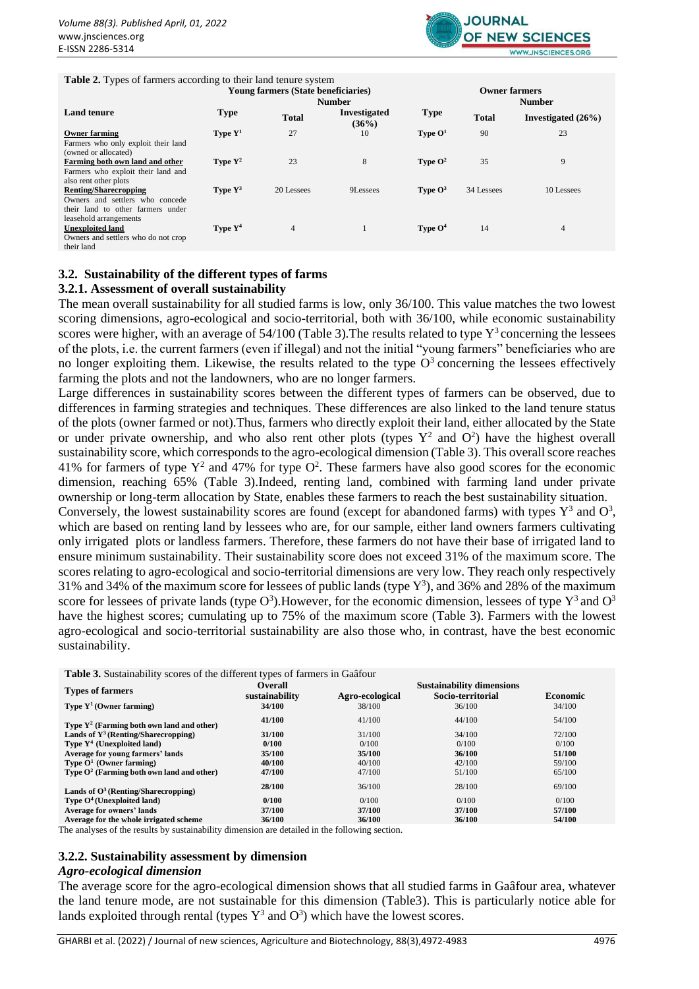

#### **Table 2.** Types of farmers according to their land tenure system

|                                     | Young farmers (State beneficiaries) |              |                              |             |               | <b>Owner farmers</b>  |  |  |  |
|-------------------------------------|-------------------------------------|--------------|------------------------------|-------------|---------------|-----------------------|--|--|--|
|                                     |                                     |              | <b>Number</b>                |             | <b>Number</b> |                       |  |  |  |
| <b>Land tenure</b>                  | <b>Type</b>                         | <b>Total</b> | <b>Investigated</b><br>(36%) | <b>Type</b> | <b>Total</b>  | Investigated $(26\%)$ |  |  |  |
| <b>Owner farming</b>                | Type $Y^1$                          | 27           | 10                           | Type $O1$   | 90            | 23                    |  |  |  |
| Farmers who only exploit their land |                                     |              |                              |             |               |                       |  |  |  |
| (owned or allocated)                |                                     |              |                              |             |               |                       |  |  |  |
| Farming both own land and other     | Type $Y^2$                          | 23           | 8                            | Type $O^2$  | 35            | 9                     |  |  |  |
| Farmers who exploit their land and  |                                     |              |                              |             |               |                       |  |  |  |
| also rent other plots               |                                     |              |                              |             |               |                       |  |  |  |
| <b>Renting/Sharecropping</b>        | Type $Y^3$                          | 20 Lessees   | 9Lessees                     | Type $O^3$  | 34 Lessees    | 10 Lessees            |  |  |  |
| Owners and settlers who concede     |                                     |              |                              |             |               |                       |  |  |  |
| their land to other farmers under   |                                     |              |                              |             |               |                       |  |  |  |
| leasehold arrangements              |                                     |              |                              |             |               |                       |  |  |  |
| <b>Unexploited land</b>             | Type $Y^4$                          | 4            |                              | Type $O4$   | 14            | $\overline{4}$        |  |  |  |
| Owners and settlers who do not crop |                                     |              |                              |             |               |                       |  |  |  |
| their land                          |                                     |              |                              |             |               |                       |  |  |  |

#### **3.2. Sustainability of the different types of farms**

#### **3.2.1. Assessment of overall sustainability**

The mean overall sustainability for all studied farms is low, only 36/100. This value matches the two lowest scoring dimensions, agro-ecological and socio-territorial, both with 36/100, while economic sustainability scores were higher, with an average of  $54/100$  (Table 3). The results related to type  $Y^3$  concerning the lessees of the plots, i.e. the current farmers (even if illegal) and not the initial "young farmers" beneficiaries who are no longer exploiting them. Likewise, the results related to the type  $O<sup>3</sup>$  concerning the lessees effectively farming the plots and not the landowners, who are no longer farmers.

Large differences in sustainability scores between the different types of farmers can be observed, due to differences in farming strategies and techniques. These differences are also linked to the land tenure status of the plots (owner farmed or not).Thus, farmers who directly exploit their land, either allocated by the State or under private ownership, and who also rent other plots (types  $Y^2$  and  $O^2$ ) have the highest overall sustainability score, which corresponds to the agro-ecological dimension (Table 3). This overall score reaches 41% for farmers of type  $Y^2$  and 47% for type  $O^2$ . These farmers have also good scores for the economic dimension, reaching 65% (Table 3).Indeed, renting land, combined with farming land under private ownership or long-term allocation by State, enables these farmers to reach the best sustainability situation. Conversely, the lowest sustainability scores are found (except for abandoned farms) with types  $Y^3$  and  $O^3$ ,

which are based on renting land by lessees who are, for our sample, either land owners farmers cultivating only irrigated plots or landless farmers. Therefore, these farmers do not have their base of irrigated land to ensure minimum sustainability. Their sustainability score does not exceed 31% of the maximum score. The scores relating to agro-ecological and socio-territorial dimensions are very low. They reach only respectively 31% and 34% of the maximum score for lessees of public lands (type  $Y^3$ ), and 36% and 28% of the maximum score for lessees of private lands (type  $O^3$ ). However, for the economic dimension, lessees of type  $Y^3$  and  $O^3$ have the highest scores; cumulating up to 75% of the maximum score (Table 3). Farmers with the lowest agro-ecological and socio-territorial sustainability are also those who, in contrast, have the best economic sustainability.

**Table 3.** Sustainability scores of the different types of farmers in Gaâfour

| <b>Types of farmers</b>                      | Overall<br>sustainability | Agro-ecological | <b>Sustainability dimensions</b><br>Socio-territorial | <b>Economic</b> |  |
|----------------------------------------------|---------------------------|-----------------|-------------------------------------------------------|-----------------|--|
| Type $Y^1$ (Owner farming)                   | 34/100                    | 38/100          | 36/100                                                | 34/100          |  |
| Type $Y^2$ (Farming both own land and other) | 41/100                    | 41/100          | 44/100                                                | 54/100          |  |
| Lands of $Y^3$ (Renting/Sharecropping)       | 31/100                    | 31/100          | 34/100                                                | 72/100          |  |
| Type $Y^4$ (Unexploited land)                | 0/100                     | 0/100           | 0/100                                                 | 0/100           |  |
| Average for young farmers' lands             | 35/100                    | 35/100          | 36/100                                                | 51/100          |  |
| Type $O^1$ (Owner farming)                   | 40/100                    | 40/100          | 42/100                                                | 59/100          |  |
| Type $O^2$ (Farming both own land and other) | 47/100                    | 47/100          | 51/100                                                | 65/100          |  |
| Lands of $O^3$ (Renting/Sharecropping)       | 28/100                    | 36/100          | 28/100                                                | 69/100          |  |
| Type $O4$ (Unexploited land)                 | 0/100                     | 0/100           | 0/100                                                 | 0/100           |  |
| <b>Average for owners' lands</b>             | 37/100                    | 37/100          | 37/100                                                | 57/100          |  |
| Average for the whole irrigated scheme       | 36/100                    | 36/100          | 36/100                                                | 54/100          |  |

The analyses of the results by sustainability dimension are detailed in the following section.

#### **3.2.2. Sustainability assessment by dimension**

#### *Agro-ecological dimension*

The average score for the agro-ecological dimension shows that all studied farms in Gaâfour area, whatever the land tenure mode, are not sustainable for this dimension (Table3). This is particularly notice able for lands exploited through rental (types  $Y^3$  and  $O^3$ ) which have the lowest scores.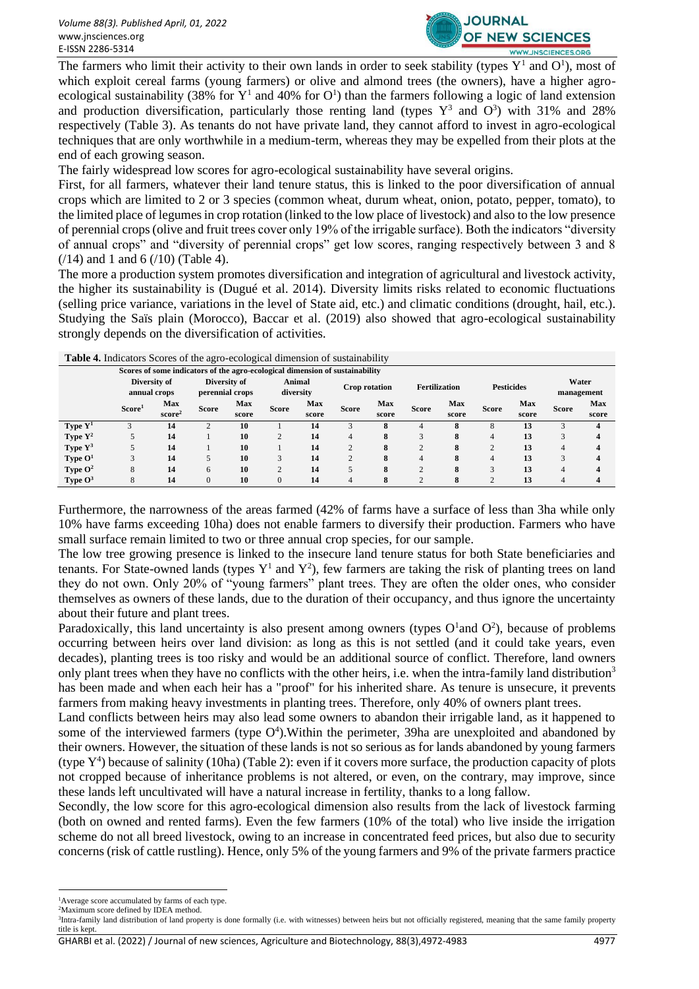

The farmers who limit their activity to their own lands in order to seek stability (types  $Y^1$  and  $O^1$ ), most of which exploit cereal farms (young farmers) or olive and almond trees (the owners), have a higher agroecological sustainability (38% for  $Y^1$  and 40% for  $O^1$ ) than the farmers following a logic of land extension and production diversification, particularly those renting land (types  $Y^3$  and  $O^3$ ) with 31% and 28% respectively (Table 3). As tenants do not have private land, they cannot afford to invest in agro-ecological techniques that are only worthwhile in a medium-term, whereas they may be expelled from their plots at the end of each growing season.

The fairly widespread low scores for agro-ecological sustainability have several origins.

First, for all farmers, whatever their land tenure status, this is linked to the poor diversification of annual crops which are limited to 2 or 3 species (common wheat, durum wheat, onion, potato, pepper, tomato), to the limited place of legumes in crop rotation (linked to the low place of livestock) and also to the low presence of perennial crops (olive and fruit trees cover only 19% of the irrigable surface). Both the indicators "diversity of annual crops" and "diversity of perennial crops" get low scores, ranging respectively between 3 and 8  $(14)$  and 1 and 6  $(10)$  (Table 4).

The more a production system promotes diversification and integration of agricultural and livestock activity, the higher its sustainability is (Dugué et al. 2014). Diversity limits risks related to economic fluctuations (selling price variance, variations in the level of State aid, etc.) and climatic conditions (drought, hail, etc.). Studying the Saïs plain (Morocco), Baccar et al. (2019) also showed that agro-ecological sustainability strongly depends on the diversification of activities.

| $\circ$<br>c |                                                                              |                    |                                 |       |                |                     |              |               |                |                      |                |                   |                |                     |  |
|--------------|------------------------------------------------------------------------------|--------------------|---------------------------------|-------|----------------|---------------------|--------------|---------------|----------------|----------------------|----------------|-------------------|----------------|---------------------|--|
|              | Scores of some indicators of the agro-ecological dimension of sustainability |                    |                                 |       |                |                     |              |               |                |                      |                |                   |                |                     |  |
|              | Diversity of<br>annual crops                                                 |                    | Diversity of<br>perennial crops |       |                | Animal<br>diversity |              | Crop rotation |                | <b>Fertilization</b> |                | <b>Pesticides</b> |                | Water<br>management |  |
|              | Score <sup>1</sup>                                                           | Max                | <b>Score</b>                    | Max   |                | Max                 | <b>Score</b> | <b>Max</b>    | <b>Score</b>   | <b>Max</b>           | <b>Score</b>   | Max               | <b>Score</b>   | Max                 |  |
|              |                                                                              | score <sup>2</sup> |                                 | score | <b>Score</b>   | score               |              | score         |                | score                |                | score             |                | score               |  |
| Type $Y^1$   |                                                                              | 14                 |                                 | 10    |                | 14                  |              | 8             | 4              | 8                    | 8              | 13                | 3              | 4                   |  |
| Type $Y^2$   |                                                                              | 14                 |                                 | 10    | $\overline{2}$ | 14                  | 4            | 8             | 3              | 8                    | $\overline{4}$ | 13                | 3              | 4                   |  |
| Type $Y^3$   |                                                                              | 14                 |                                 | 10    |                | 14                  | $\sim$       | 8             | $\overline{2}$ | 8                    | $\overline{2}$ | 13                | $\overline{4}$ | 4                   |  |
| Type $O1$    |                                                                              | 14                 |                                 | 10    |                | 14                  |              | 8             | 4              | 8                    | $\overline{4}$ | 13                | 3              | 4                   |  |
| Type $O^2$   | 8                                                                            | 14                 | 6                               | 10    | ◠              | 14                  |              | 8             | $\bigcap$      | 8                    | 3              | 13                | 4              | 4                   |  |
| Type $O^3$   |                                                                              | 14                 | $\Omega$                        | 10    |                | 14                  |              |               | $\bigcap$      | 8                    | $\Omega$       | 13                | 4              | 4                   |  |

**Table 4.** Indicators Scores of the agro-ecological dimension of sustainability

Furthermore, the narrowness of the areas farmed (42% of farms have a surface of less than 3ha while only 10% have farms exceeding 10ha) does not enable farmers to diversify their production. Farmers who have small surface remain limited to two or three annual crop species, for our sample.

The low tree growing presence is linked to the insecure land tenure status for both State beneficiaries and tenants. For State-owned lands (types  $Y^1$  and  $Y^2$ ), few farmers are taking the risk of planting trees on land they do not own. Only 20% of "young farmers" plant trees. They are often the older ones, who consider themselves as owners of these lands, due to the duration of their occupancy, and thus ignore the uncertainty about their future and plant trees.

Paradoxically, this land uncertainty is also present among owners (types  $O<sup>1</sup>$ and  $O<sup>2</sup>$ ), because of problems occurring between heirs over land division: as long as this is not settled (and it could take years, even decades), planting trees is too risky and would be an additional source of conflict. Therefore, land owners only plant trees when they have no conflicts with the other heirs, i.e. when the intra-family land distribution<sup>3</sup> has been made and when each heir has a "proof" for his inherited share. As tenure is unsecure, it prevents farmers from making heavy investments in planting trees. Therefore, only 40% of owners plant trees.

Land conflicts between heirs may also lead some owners to abandon their irrigable land, as it happened to some of the interviewed farmers (type  $O<sup>4</sup>$ ). Within the perimeter, 39ha are unexploited and abandoned by their owners. However, the situation of these lands is not so serious as for lands abandoned by young farmers (type  $Y^4$ ) because of salinity (10ha) (Table 2): even if it covers more surface, the production capacity of plots not cropped because of inheritance problems is not altered, or even, on the contrary, may improve, since these lands left uncultivated will have a natural increase in fertility, thanks to a long fallow.

Secondly, the low score for this agro-ecological dimension also results from the lack of livestock farming (both on owned and rented farms). Even the few farmers (10% of the total) who live inside the irrigation scheme do not all breed livestock, owing to an increase in concentrated feed prices, but also due to security concerns (risk of cattle rustling). Hence, only 5% of the young farmers and 9% of the private farmers practice

GHARBI et al. (2022) / Journal of new sciences, Agriculture and Biotechnology, 88(3),4972-4983 4977

<sup>1</sup>Average score accumulated by farms of each type.

<sup>&</sup>lt;sup>2</sup>Maximum score defined by IDEA method.

<sup>&</sup>lt;sup>3</sup>Intra-family land distribution of land property is done formally (i.e. with witnesses) between heirs but not officially registered, meaning that the same family property title is kept.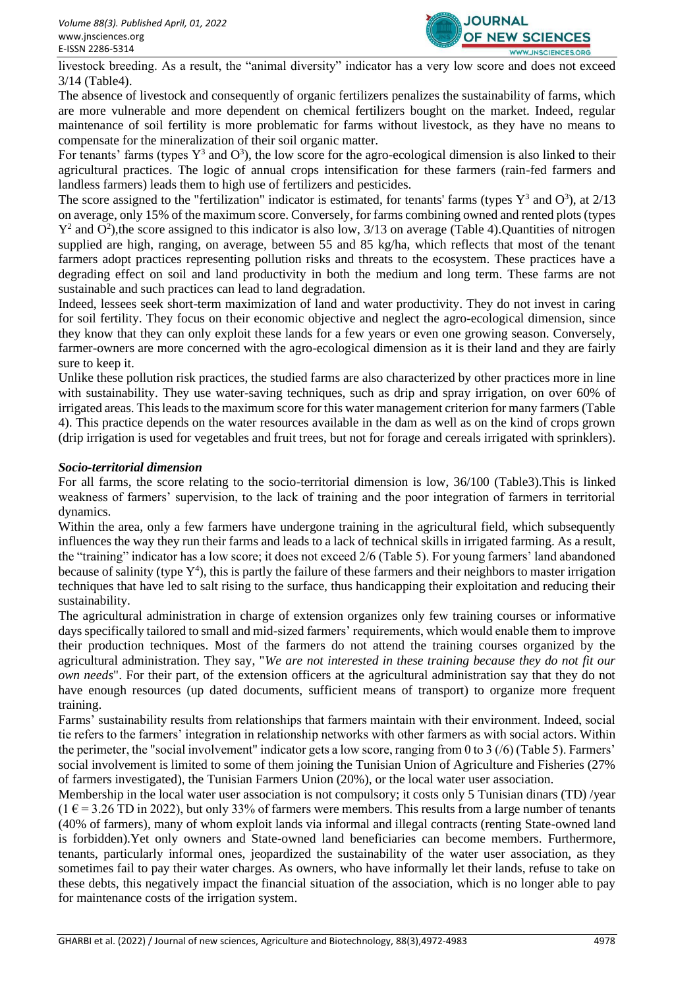

livestock breeding. As a result, the "animal diversity" indicator has a very low score and does not exceed 3/14 (Table4).

The absence of livestock and consequently of organic fertilizers penalizes the sustainability of farms, which are more vulnerable and more dependent on chemical fertilizers bought on the market. Indeed, regular maintenance of soil fertility is more problematic for farms without livestock, as they have no means to compensate for the mineralization of their soil organic matter.

For tenants' farms (types  $Y^3$  and  $O^3$ ), the low score for the agro-ecological dimension is also linked to their agricultural practices. The logic of annual crops intensification for these farmers (rain-fed farmers and landless farmers) leads them to high use of fertilizers and pesticides.

The score assigned to the "fertilization" indicator is estimated, for tenants' farms (types  $Y^3$  and  $O^3$ ), at 2/13 on average, only 15% of the maximum score. Conversely, for farms combining owned and rented plots (types  $Y^2$  and  $O^2$ ), the score assigned to this indicator is also low, 3/13 on average (Table 4). Quantities of nitrogen supplied are high, ranging, on average, between 55 and 85 kg/ha, which reflects that most of the tenant farmers adopt practices representing pollution risks and threats to the ecosystem. These practices have a degrading effect on soil and land productivity in both the medium and long term. These farms are not sustainable and such practices can lead to land degradation.

Indeed, lessees seek short-term maximization of land and water productivity. They do not invest in caring for soil fertility. They focus on their economic objective and neglect the agro-ecological dimension, since they know that they can only exploit these lands for a few years or even one growing season. Conversely, farmer-owners are more concerned with the agro-ecological dimension as it is their land and they are fairly sure to keep it.

Unlike these pollution risk practices, the studied farms are also characterized by other practices more in line with sustainability. They use water-saving techniques, such as drip and spray irrigation, on over 60% of irrigated areas. This leads to the maximum score for this water management criterion for many farmers (Table 4). This practice depends on the water resources available in the dam as well as on the kind of crops grown (drip irrigation is used for vegetables and fruit trees, but not for forage and cereals irrigated with sprinklers).

# *Socio-territorial dimension*

For all farms, the score relating to the socio-territorial dimension is low, 36/100 (Table3).This is linked weakness of farmers' supervision, to the lack of training and the poor integration of farmers in territorial dynamics.

Within the area, only a few farmers have undergone training in the agricultural field, which subsequently influences the way they run their farms and leads to a lack of technical skills in irrigated farming. As a result, the "training" indicator has a low score; it does not exceed 2/6 (Table 5). For young farmers' land abandoned because of salinity (type  $Y^4$ ), this is partly the failure of these farmers and their neighbors to master irrigation techniques that have led to salt rising to the surface, thus handicapping their exploitation and reducing their sustainability.

The agricultural administration in charge of extension organizes only few training courses or informative days specifically tailored to small and mid-sized farmers' requirements, which would enable them to improve their production techniques. Most of the farmers do not attend the training courses organized by the agricultural administration. They say, "*We are not interested in these training because they do not fit our own needs*". For their part, of the extension officers at the agricultural administration say that they do not have enough resources (up dated documents, sufficient means of transport) to organize more frequent training.

Farms' sustainability results from relationships that farmers maintain with their environment. Indeed, social tie refers to the farmers' integration in relationship networks with other farmers as with social actors. Within the perimeter, the "social involvement" indicator gets a low score, ranging from 0 to 3 (/6) (Table 5). Farmers' social involvement is limited to some of them joining the Tunisian Union of Agriculture and Fisheries (27% of farmers investigated), the Tunisian Farmers Union (20%), or the local water user association.

Membership in the local water user association is not compulsory; it costs only 5 Tunisian dinars (TD) /year  $(1 \text{ } \in = 3.26 \text{ } \text{T} \text{D} \text{ in } 2022)$ , but only 33% of farmers were members. This results from a large number of tenants (40% of farmers), many of whom exploit lands via informal and illegal contracts (renting State-owned land is forbidden).Yet only owners and State-owned land beneficiaries can become members. Furthermore, tenants, particularly informal ones, jeopardized the sustainability of the water user association, as they sometimes fail to pay their water charges. As owners, who have informally let their lands, refuse to take on these debts, this negatively impact the financial situation of the association, which is no longer able to pay for maintenance costs of the irrigation system.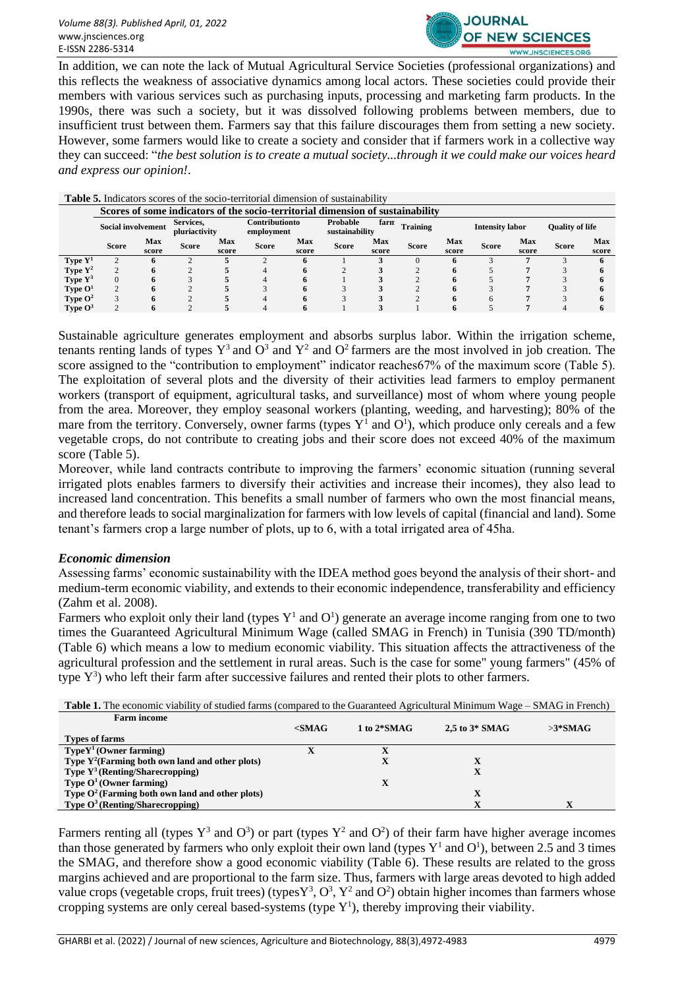

In addition, we can note the lack of Mutual Agricultural Service Societies (professional organizations) and this reflects the weakness of associative dynamics among local actors. These societies could provide their members with various services such as purchasing inputs, processing and marketing farm products. In the 1990s, there was such a society, but it was dissolved following problems between members, due to insufficient trust between them. Farmers say that this failure discourages them from setting a new society. However, some farmers would like to create a society and consider that if farmers work in a collective way they can succeed: "*the best solution is to create a mutual society...through it we could make our voices heard and express our opinion!*.

| <b>Table 5.</b> Indicators scores of the socio-territorial dimension of sustainability |                                                                                |              |              |                                                                                       |              |              |              |                                                  |              |              |              |              |              |              |
|----------------------------------------------------------------------------------------|--------------------------------------------------------------------------------|--------------|--------------|---------------------------------------------------------------------------------------|--------------|--------------|--------------|--------------------------------------------------|--------------|--------------|--------------|--------------|--------------|--------------|
|                                                                                        | Scores of some indicators of the socio-territorial dimension of sustainability |              |              |                                                                                       |              |              |              |                                                  |              |              |              |              |              |              |
|                                                                                        | Services.<br><b>Social involvement</b><br>pluriactivity                        |              |              | Contributionto<br>Probable<br>farn<br><b>Training</b><br>sustainability<br>employment |              |              |              | <b>Intensity labor</b><br><b>Quality of life</b> |              |              |              |              |              |              |
|                                                                                        | <b>Score</b>                                                                   | Max<br>score | <b>Score</b> | Max<br>score                                                                          | <b>Score</b> | Max<br>score | <b>Score</b> | Max<br>score                                     | <b>Score</b> | Max<br>score | <b>Score</b> | Max<br>score | <b>Score</b> | Max<br>score |
| Type $Y^1$                                                                             |                                                                                | n            |              |                                                                                       |              |              |              |                                                  |              |              |              |              |              | n.           |
| Type $Y^2$                                                                             |                                                                                | 6            |              |                                                                                       |              |              |              |                                                  |              |              |              |              |              |              |
| Type Y <sup>3</sup>                                                                    |                                                                                | 6            |              |                                                                                       |              |              |              |                                                  |              |              |              |              |              |              |
| Type $O1$                                                                              |                                                                                | 6            |              |                                                                                       |              |              |              |                                                  |              |              |              |              |              |              |
| Type $O^2$                                                                             |                                                                                | 6            |              |                                                                                       |              |              |              |                                                  |              |              |              |              |              |              |
| Type $O^3$                                                                             |                                                                                | 6            |              |                                                                                       |              | o            |              |                                                  |              |              |              |              |              | 6            |

Sustainable agriculture generates employment and absorbs surplus labor. Within the irrigation scheme, tenants renting lands of types  $Y^3$  and  $O^3$  and  $Y^2$  and  $O^2$  farmers are the most involved in job creation. The score assigned to the "contribution to employment" indicator reaches 67% of the maximum score (Table 5). The exploitation of several plots and the diversity of their activities lead farmers to employ permanent workers (transport of equipment, agricultural tasks, and surveillance) most of whom where young people from the area. Moreover, they employ seasonal workers (planting, weeding, and harvesting); 80% of the mare from the territory. Conversely, owner farms (types  $Y^1$  and  $O^1$ ), which produce only cereals and a few vegetable crops, do not contribute to creating jobs and their score does not exceed 40% of the maximum score (Table 5).

Moreover, while land contracts contribute to improving the farmers' economic situation (running several irrigated plots enables farmers to diversify their activities and increase their incomes), they also lead to increased land concentration. This benefits a small number of farmers who own the most financial means, and therefore leads to social marginalization for farmers with low levels of capital (financial and land). Some tenant's farmers crop a large number of plots, up to 6, with a total irrigated area of 45ha.

# *Economic dimension*

Assessing farms' economic sustainability with the IDEA method goes beyond the analysis of their short- and medium-term economic viability, and extends to their economic independence, transferability and efficiency (Zahm et al. 2008).

Farmers who exploit only their land (types  $Y^1$  and  $O^1$ ) generate an average income ranging from one to two times the Guaranteed Agricultural Minimum Wage (called SMAG in French) in Tunisia (390 TD/month) (Table 6) which means a low to medium economic viability. This situation affects the attractiveness of the agricultural profession and the settlement in rural areas. Such is the case for some" young farmers" (45% of type  $Y^3$ ) who left their farm after successive failures and rented their plots to other farmers.

| <b>Table 1.</b> The economic viability of studied farms (compared to the Guaranteed Agricultural Minimum Wage – SMAG in French) |          |               |                  |           |  |  |  |  |  |
|---------------------------------------------------------------------------------------------------------------------------------|----------|---------------|------------------|-----------|--|--|--|--|--|
| <b>Farm income</b>                                                                                                              |          |               |                  |           |  |  |  |  |  |
|                                                                                                                                 | $<$ SMAG | 1 to $2*SMAG$ | 2.5 to $3*$ SMAG | $>3*SMAG$ |  |  |  |  |  |
| Types of farms                                                                                                                  |          |               |                  |           |  |  |  |  |  |
| $TypeY^1$ (Owner farming)                                                                                                       |          |               |                  |           |  |  |  |  |  |
| Type $Y^2$ (Farming both own land and other plots)                                                                              |          |               | x                |           |  |  |  |  |  |
| <b>Type <math>Y^3</math> (Renting/Sharecropping)</b>                                                                            |          |               | X                |           |  |  |  |  |  |
| Type $O^1$ (Owner farming)                                                                                                      |          | x             |                  |           |  |  |  |  |  |
| Type $O^2$ (Farming both own land and other plots)                                                                              |          |               | $\mathbf x$      |           |  |  |  |  |  |
| <b>Type O<sup>3</sup></b> (Renting/Sharecropping)                                                                               |          |               | X                |           |  |  |  |  |  |

Farmers renting all (types  $Y^3$  and  $O^3$ ) or part (types  $Y^2$  and  $O^2$ ) of their farm have higher average incomes than those generated by farmers who only exploit their own land (types  $Y^1$  and  $O^1$ ), between 2.5 and 3 times the SMAG, and therefore show a good economic viability (Table 6). These results are related to the gross margins achieved and are proportional to the farm size. Thus, farmers with large areas devoted to high added value crops (vegetable crops, fruit trees) (types  $Y^3$ ,  $O^3$ ,  $Y^2$  and  $O^2$ ) obtain higher incomes than farmers whose cropping systems are only cereal based-systems (type  $Y^1$ ), thereby improving their viability.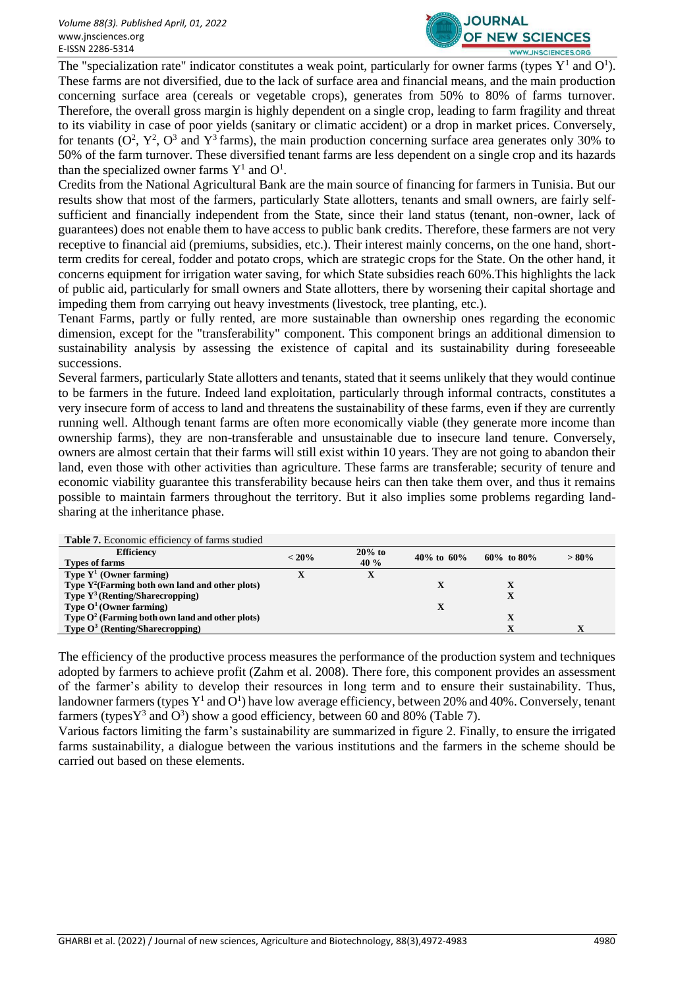

The "specialization rate" indicator constitutes a weak point, particularly for owner farms (types  $Y^1$  and  $O^1$ ). These farms are not diversified, due to the lack of surface area and financial means, and the main production concerning surface area (cereals or vegetable crops), generates from 50% to 80% of farms turnover. Therefore, the overall gross margin is highly dependent on a single crop, leading to farm fragility and threat to its viability in case of poor yields (sanitary or climatic accident) or a drop in market prices. Conversely, for tenants  $(O^2, Y^2, O^3$  and  $Y^3$  farms), the main production concerning surface area generates only 30% to 50% of the farm turnover. These diversified tenant farms are less dependent on a single crop and its hazards than the specialized owner farms  $Y^1$  and  $O^1$ .

Credits from the National Agricultural Bank are the main source of financing for farmers in Tunisia. But our results show that most of the farmers, particularly State allotters, tenants and small owners, are fairly selfsufficient and financially independent from the State, since their land status (tenant, non-owner, lack of guarantees) does not enable them to have access to public bank credits. Therefore, these farmers are not very receptive to financial aid (premiums, subsidies, etc.). Their interest mainly concerns, on the one hand, shortterm credits for cereal, fodder and potato crops, which are strategic crops for the State. On the other hand, it concerns equipment for irrigation water saving, for which State subsidies reach 60%.This highlights the lack of public aid, particularly for small owners and State allotters, there by worsening their capital shortage and impeding them from carrying out heavy investments (livestock, tree planting, etc.).

Tenant Farms, partly or fully rented, are more sustainable than ownership ones regarding the economic dimension, except for the "transferability" component. This component brings an additional dimension to sustainability analysis by assessing the existence of capital and its sustainability during foreseeable successions.

Several farmers, particularly State allotters and tenants, stated that it seems unlikely that they would continue to be farmers in the future. Indeed land exploitation, particularly through informal contracts, constitutes a very insecure form of access to land and threatens the sustainability of these farms, even if they are currently running well. Although tenant farms are often more economically viable (they generate more income than ownership farms), they are non-transferable and unsustainable due to insecure land tenure. Conversely, owners are almost certain that their farms will still exist within 10 years. They are not going to abandon their land, even those with other activities than agriculture. These farms are transferable; security of tenure and economic viability guarantee this transferability because heirs can then take them over, and thus it remains possible to maintain farmers throughout the territory. But it also implies some problems regarding landsharing at the inheritance phase.

| <b>Table 7.</b> Economic efficiency of farms studied |          |          |                |                  |         |
|------------------------------------------------------|----------|----------|----------------|------------------|---------|
| <b>Efficiency</b>                                    | $< 20\%$ | $20%$ to | 40\% to $60\%$ | $60\%$ to $80\%$ | $>80\%$ |
| <b>Types of farms</b>                                |          | 40 %     |                |                  |         |
| Type $Y^1$ (Owner farming)                           |          |          |                |                  |         |
| Type $Y^2$ (Farming both own land and other plots)   |          |          |                |                  |         |
| <b>Type <math>Y^3</math> (Renting/Sharecropping)</b> |          |          |                |                  |         |
| Type $O^1$ (Owner farming)                           |          |          |                |                  |         |
| Type $O^2$ (Farming both own land and other plots)   |          |          |                |                  |         |
| <b>Type O<sup>3</sup></b> (Renting/Sharecropping)    |          |          |                |                  |         |

The efficiency of the productive process measures the performance of the production system and techniques adopted by farmers to achieve profit (Zahm et al. 2008). There fore, this component provides an assessment of the farmer's ability to develop their resources in long term and to ensure their sustainability. Thus, landowner farmers (types  $Y^1$  and  $O^1$ ) have low average efficiency, between 20% and 40%. Conversely, tenant farmers (types  $Y^3$  and  $O^3$ ) show a good efficiency, between 60 and 80% (Table 7).

Various factors limiting the farm's sustainability are summarized in figure 2. Finally, to ensure the irrigated farms sustainability, a dialogue between the various institutions and the farmers in the scheme should be carried out based on these elements.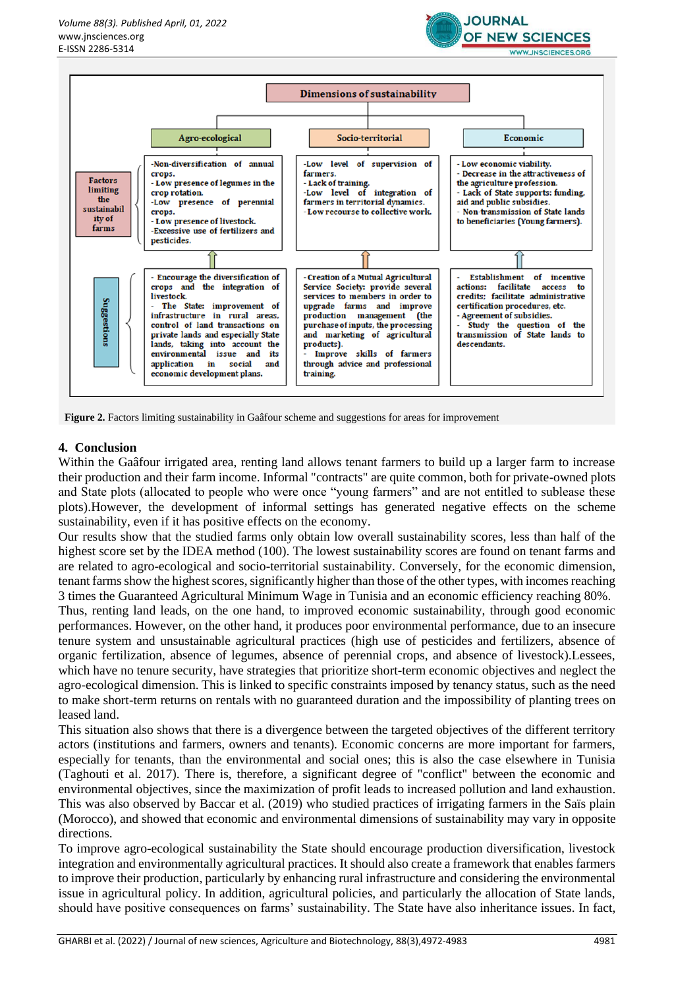





Figure 2. Factors limiting sustainability in Gaâfour scheme and suggestions for areas for improvement

## **4. Conclusion**

Within the Gaâfour irrigated area, renting land allows tenant farmers to build up a larger farm to increase their production and their farm income. Informal "contracts" are quite common, both for private-owned plots and State plots (allocated to people who were once "young farmers" and are not entitled to sublease these plots).However, the development of informal settings has generated negative effects on the scheme sustainability, even if it has positive effects on the economy.

Our results show that the studied farms only obtain low overall sustainability scores, less than half of the highest score set by the IDEA method (100). The lowest sustainability scores are found on tenant farms and are related to agro-ecological and socio-territorial sustainability. Conversely, for the economic dimension, tenant farms show the highest scores, significantly higher than those of the other types, with incomes reaching 3 times the Guaranteed Agricultural Minimum Wage in Tunisia and an economic efficiency reaching 80%.

Thus, renting land leads, on the one hand, to improved economic sustainability, through good economic performances. However, on the other hand, it produces poor environmental performance, due to an insecure tenure system and unsustainable agricultural practices (high use of pesticides and fertilizers, absence of organic fertilization, absence of legumes, absence of perennial crops, and absence of livestock).Lessees, which have no tenure security, have strategies that prioritize short-term economic objectives and neglect the agro-ecological dimension. This is linked to specific constraints imposed by tenancy status, such as the need to make short-term returns on rentals with no guaranteed duration and the impossibility of planting trees on leased land.

This situation also shows that there is a divergence between the targeted objectives of the different territory actors (institutions and farmers, owners and tenants). Economic concerns are more important for farmers, especially for tenants, than the environmental and social ones; this is also the case elsewhere in Tunisia (Taghouti et al. 2017). There is, therefore, a significant degree of "conflict" between the economic and environmental objectives, since the maximization of profit leads to increased pollution and land exhaustion. This was also observed by Baccar et al. (2019) who studied practices of irrigating farmers in the Saïs plain (Morocco), and showed that economic and environmental dimensions of sustainability may vary in opposite directions.

To improve agro-ecological sustainability the State should encourage production diversification, livestock integration and environmentally agricultural practices. It should also create a framework that enables farmers to improve their production, particularly by enhancing rural infrastructure and considering the environmental issue in agricultural policy. In addition, agricultural policies, and particularly the allocation of State lands, should have positive consequences on farms' sustainability. The State have also inheritance issues. In fact,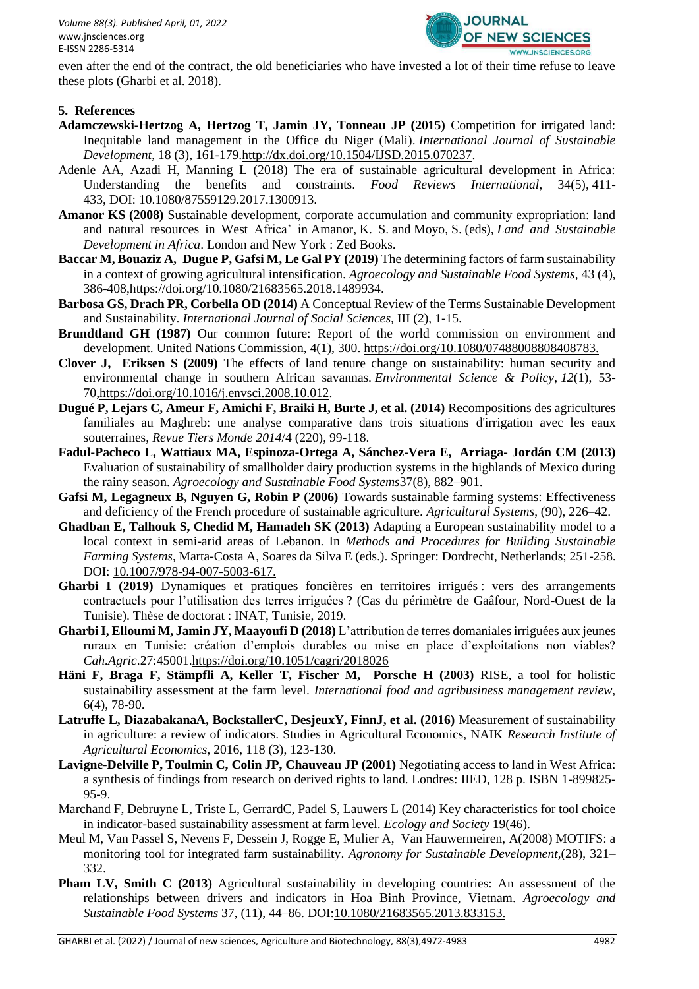

even after the end of the contract, the old beneficiaries who have invested a lot of their time refuse to leave these plots (Gharbi et al. 2018).

### **5. References**

- **Adamczewski-Hertzog A, Hertzog T, Jamin JY, Tonneau JP (2015)** Competition for irrigated land: Inequitable land management in the Office du Niger (Mali). *International Journal of Sustainable Development*, 18 (3), 161-179[.http://dx.doi.org/10.1504/IJSD.2015.070237.](http://dx.doi.org/10.1504/IJSD.2015.070237)
- Adenle AA, Azadi H, Manning L (2018) The era of sustainable agricultural development in Africa: Understanding the benefits and constraints. *Food Reviews International*, 34(5), 411- 433, DOI: [10.1080/87559129.2017.1300913.](https://doi.org/10.1080/87559129.2017.1300913)
- **Amanor KS (2008)** Sustainable development, corporate accumulation and community expropriation: land and natural resources in West Africa' in Amanor, K. S. and Moyo, S. (eds), *Land and Sustainable Development in Africa*. London and New York : Zed Books.
- **Baccar M, Bouaziz A, Dugue P, Gafsi M, Le Gal PY (2019)** The determining factors of farm sustainability in a context of growing agricultural intensification. *Agroecology and Sustainable Food Systems*, 43 (4), 386-408[,https://doi.org/10.1080/21683565.2018.1489934.](https://doi.org/10.1080/21683565.2018.1489934)
- **Barbosa GS, Drach PR, Corbella OD (2014)** A Conceptual Review of the Terms Sustainable Development and Sustainability. *International Journal of Social Sciences,* III (2), 1-15.
- **Brundtland GH (1987)** Our common future: Report of the world commission on environment and development. United Nations Commission, 4(1), 300. https://doi.org/10.1080/07488008808408783.
- **Clover J, Eriksen S (2009)** The effects of land tenure change on sustainability: human security and environmental change in southern African savannas. *Environmental Science & Policy*, *12*(1), 53- 7[0,https://doi.org/10.1016/j.envsci.2008.10.012.](https://doi.org/10.1016/j.envsci.2008.10.012)
- **Dugué P, Lejars C, Ameur F, Amichi F, Braiki H, Burte J, et al. (2014)** Recompositions des agricultures familiales au Maghreb: une analyse comparative dans trois situations d'irrigation avec les eaux souterraines, *Revue Tiers Monde 2014*/4 (220), 99-118.
- **Fadul-Pacheco L, Wattiaux MA, Espinoza-Ortega A, Sánchez-Vera E, Arriaga- Jordán CM (2013)** Evaluation of sustainability of smallholder dairy production systems in the highlands of Mexico during the rainy season. *Agroecology and Sustainable Food Systems*37(8), 882–901.
- **Gafsi M, Legagneux B, Nguyen G, Robin P (2006)** Towards sustainable farming systems: Effectiveness and deficiency of the French procedure of sustainable agriculture. *Agricultural Systems*, (90), 226–42.
- **Ghadban E, Talhouk S, Chedid M, Hamadeh SK (2013)** Adapting a European sustainability model to a local context in semi-arid areas of Lebanon. In *Methods and Procedures for Building Sustainable Farming Systems*, Marta-Costa A, Soares da Silva E (eds.). Springer: Dordrecht, Netherlands; 251-258. DOI: 10.1007/978-94-007-5003-617.
- **Gharbi I (2019)** Dynamiques et pratiques foncières en territoires irrigués : vers des arrangements contractuels pour l'utilisation des terres irriguées ? (Cas du périmètre de Gaâfour, Nord-Ouest de la Tunisie). Thèse de doctorat : INAT, Tunisie, 2019.
- **Gharbi I, Elloumi M, Jamin JY, Maayoufi D (2018)** L'attribution de terres domaniales irriguées aux jeunes ruraux en Tunisie: création d'emplois durables ou mise en place d'exploitations non viables? *Cah.Agric*.27:45001.https://doi.org/10.1051/cagri/2018026
- **Häni F, Braga F, Stämpfli A, Keller T, Fischer M, Porsche H (2003)** RISE, a tool for holistic sustainability assessment at the farm level. *International food and agribusiness management review,*  6(4), 78-90.
- **Latruffe L, DiazabakanaA, BockstallerC, DesjeuxY, FinnJ, et al. (2016)** Measurement of sustainability in agriculture: a review of indicators. Studies in Agricultural Economics, NAIK *Research Institute of Agricultural Economics*, 2016, 118 (3), 123-130.
- **Lavigne-Delville P, Toulmin C, Colin JP, Chauveau JP (2001)** Negotiating access to land in West Africa: a synthesis of findings from research on derived rights to land. Londres: IIED, 128 p. ISBN 1-899825- 95-9.
- Marchand F, Debruyne L, Triste L, GerrardC, Padel S, Lauwers L (2014) Key characteristics for tool choice in indicator-based sustainability assessment at farm level. *Ecology and Society* 19(46).
- Meul M, Van Passel S, Nevens F, Dessein J, Rogge E, Mulier A, Van Hauwermeiren, A(2008) MOTIFS: a monitoring tool for integrated farm sustainability. *Agronomy for Sustainable Development,*(28), 321– 332.
- **Pham LV, Smith C (2013)** Agricultural sustainability in developing countries: An assessment of the relationships between drivers and indicators in Hoa Binh Province, Vietnam. *Agroecology and Sustainable Food Systems* 37, (11), 44–86. DOI:10.1080/21683565.2013.833153.